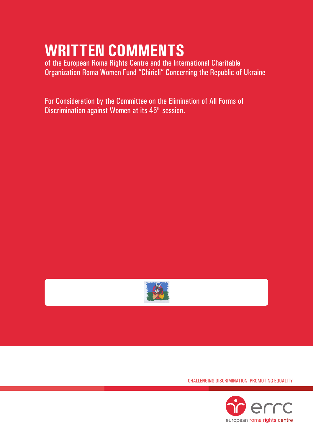# **Written Comments**

of the European Roma Rights Centre and the International Charitable Organization Roma Women Fund "Chiricli" Concerning the Republic of Ukraine

For Consideration by the Committee on the Elimination of All Forms of Discrimination against Women at its 45<sup>th</sup> session.



Challenging Discrimination Promoting Equality

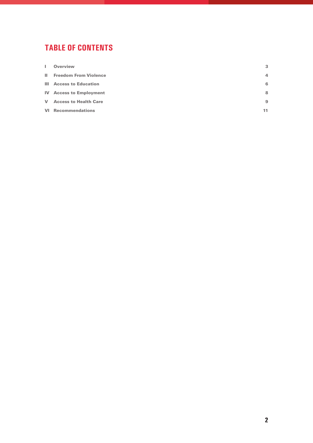## **tablE of contents**

| H. | <b>Overview</b>                 | 3  |
|----|---------------------------------|----|
|    | <b>II</b> Freedom From Violence | 4  |
|    | <b>III</b> Access to Education  | 6  |
|    | <b>IV</b> Access to Employment  | 8  |
|    | <b>V</b> Access to Health Care  | 9  |
|    | <b>VI</b> Recommendations       | 11 |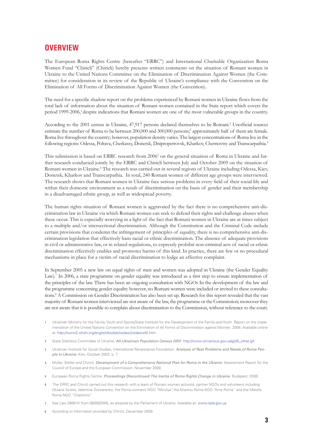### **OVERVIEW**

The European Roma Rights Centre (hereafter "ERRC") and International Charitable Organization Roma Women Fund "Chiricli" (Chiricli) hereby presents written comments on the situation of Romani women in Ukraine to the United Nations Committee on the Elimination of Discrimination Against Women (the Committee) for consideration in its review of the Republic of Ukraine's compliance with the Convention on the Elimination of All Forms of Discrimination Against Women (the Convention).

The need for a specific shadow report on the problems experienced by Romani women in Ukraine flows from the total lack of information about the situation of Romani women contained in the State report which covers the period 1999-2006,<sup>1</sup> despite indications that Romani women are one of the most vulnerable groups in the country.

According to the 2001 census in Ukraine, 47,917 persons declared themselves to be Romani.2 Unofficial sources estimate the number of Roma to be between 200,000 and 300,000 persons;<sup>3</sup> approximately half of them are female. Roma live throughout the country; however, population density varies. The largest concentrations of Roma live in the following regions: Odessa, Poltava, Cherkassy, Donetsk, Dnipropetrovsk, Kharkov, Chernovtsy and Transcarpathia.<sup>4</sup>

This submission is based on ERRC research from 2006<sup>5</sup> on the general situation of Roma in Ukraine and further research conducted jointly by the ERRC and Chiricli between July and October 2009 on the situation of Romani women in Ukraine.<sup>6</sup> The research was carried out in several regions of Ukraine including Odessa, Kiev, Donetsk, Kharkov and Transcarpathia. In total, 240 Romani women of different age groups were interviewed. The research shows that Romani women in Ukraine face serious problems in every field of their social life and within their domestic environment as a result of discrimination on the basis of gender and their membership in a disadvantaged ethnic group, as well as widespread poverty.

The human rights situation of Romani women is aggravated by the fact there is no comprehensive anti-discrimination law in Ukraine via which Romani women can seek to defend their rights and challenge abuses when these occur. This is especially worrying in a light of the fact that Romani women in Ukraine are at times subject to a multiple and/or intersectional discrimination. Although the Constitution and the Criminal Code include certain provisions that condemn the infringement of principles of equality, there is no comprehensive anti-discrimination legislation that effectively bans racial or ethnic discrimination. The absence of adequate provisions in civil or administrative law, or in related regulations, to expressly prohibit non-criminal acts of racial or ethnic discrimination effectively enables and promotes harms of this kind. In practice, there are few or no procedural mechanisms in place for a victim of racial discrimination to lodge an effective complaint.

In September 2005 a new law on equal rights of men and women was adopted in Ukraine (the Gender Equality Law).<sup>7</sup> In 2006, a state programme on gender equality was introduced as a first step to ensure implementation of the principles of the law. There has been an ongoing consultation with NGOs In the development of the law and the programme concerning gender equality however, no Romani women were included or invited to these consultations.8 A Commission on Gender Discrimination has also been set up. Research for this report revealed that the vast majority of Romani women interviewed are not aware of the law, the programme or the Commission; moreover they are not aware that it is possible to complain about discrimination to the Commission, without reference to the court.

- **1** Ukrainian Ministry for the Family, Youth and Sports/State Institute for the Development of the Family and Youth. Report on the implementation of the United Nations Convention on the Elimination of All Forms of Discrimination against Women. 2006. Available online at: <http://www2.ohchr.org/english/bodies/cedaw/cedaws45.htm>.
- **2** State Statistics Committee of Ukraine, *All-Ukrainian Population Census 2001*: [http://www.ukrcensus.gov.ua/g/d5\\_other.gif](http://www.ukrcensus.gov.ua/g/d5_other.gif).
- **3** Ukrainian Institute for Social Studies, International Renaissance Foundation. *Analysis of Real Problems and Needs of Roma People in Ukraine*. Kiev, October 2003, p. 7.
- **4** Muller, Stefan and Chiricli. *Development of a Comprehensive National Plan for Roma in the Ukraine*. Assessment Report for the Council of Europe and the European Commission. November 2008.
- **5** European Roma Rights Centre. *Proceedings Discontinued: The Inertia of Roma Rights Change in Ukraine*. Budapest, 2006.
- **6** The ERRC and Chiricli carried out this research with a team of Romani women activists, partner NGOs and volunteers including Oksana Szvets, Valentina Zolotarenko, the Roma woman's NGO "Miriclya", the Kharkov Roma NGO "Ame Roma" and the Merefa Roma NGO "Chachimo".
- **7** See Law 2866-IV from 08/09/2005, as adopted by the Parliament of Ukraine. Available at:<www.rada.gov.ua>.
- **8** According to information provided by Chiricli; December 2009.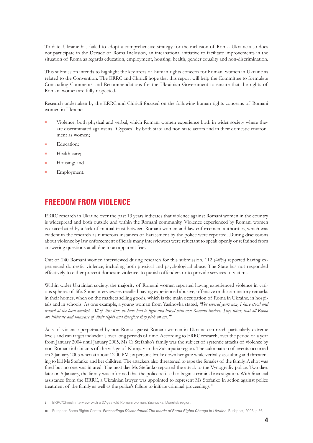To date, Ukraine has failed to adopt a comprehensive strategy for the inclusion of Roma. Ukraine also does not participate in the Decade of Roma Inclusion, an international initiative to facilitate improvements in the situation of Roma as regards education, employment, housing, health, gender equality and non-discrimination.

This submission intends to highlight the key areas of human rights concern for Romani women in Ukraine as related to the Convention. The ERRC and Chiricli hope that this report will help the Committee to formulate Concluding Comments and Recommendations for the Ukrainian Government to ensure that the rights of Romani women are fully respected.

Research undertaken by the ERRC and Chiricli focused on the following human rights concerns of Romani women in Ukraine:

- Violence, both physical and verbal, which Romani women experience both in wider society where they are discriminated against as "Gypsies" by both state and non-state actors and in their domestic environment as women;
- Education;
- Health care:
- Housing; and
- Employment.

## **FREEDOM FROM VIOLENCE**

ERRC research in Ukraine over the past 13 years indicates that violence against Romani women in the country is widespread and both outside and within the Romani community. Violence experienced by Romani women is exacerbated by a lack of mutual trust between Romani women and law enforcement authorities, which was evident in the research as numerous instances of harassment by the police were reported. During discussions about violence by law enforcement officials many interviewees were reluctant to speak openly or refrained from answering questions at all due to an apparent fear.

Out of 240 Romani women interviewed during research for this submission, 112 (46%) reported having experienced domestic violence, including both physical and psychological abuse. The State has not responded effectively to either prevent domestic violence, to punish offenders or to provide services to victims.

Within wider Ukrainian society, the majority of Romani women reported having experienced violence in various spheres of life. Some interviewees recalled having experienced abusive, offensive or discriminatory remarks in their homes, when on the markets selling goods, which is the main occupation of Roma in Ukraine, in hospitals and in schools. As one example, a young woman from Yasinovka stated, *"For several years now, I have stood and traded at the local market. All of this time we have had to fight and brawl with non-Romani traders. They think that all Roma are illiterate and unaware of their rights and therefore they pick on me."*<sup>9</sup>

Acts of violence perpetrated by non-Roma against Romani women in Ukraine can reach particularly extreme levels and can target individuals over long periods of time. According to ERRC research, over the period of a year from January 2004 until January 2005, Ms O. Stefanko's family was the subject of systemic attacks of violence by non-Romani inhabitants of the village of Komjaty in the Zakarpatia region. The culmination of events occurred on 2 January 2005 when at about 12:00 PM six persons broke down her gate while verbally assaulting and threatening to kill Ms Stefanko and her children. The attackers also threatened to rape the females of the family. A shot was fired but no one was injured. The next day Ms Stefanko reported the attack to the Vynogradiv police. Two days later on 5 January, the family was informed that the police refused to begin a criminal investigation. With financial assistance from the ERRC, a Ukrainian lawyer was appointed to represent Ms Stefanko in action against police treatment of the family as well as the police's failure to initiate criminal proceedings.<sup>10</sup>

**<sup>9</sup>** ERRC/Chiricli interview with a 37-year-old Romani woman. Yasinovka, Donetsk region.

**<sup>10</sup>** European Roma Rights Centre. *Proceedings Discontinued: The Inertia of Roma Rights Change in Ukraine*. Budapest, 2006, p.56.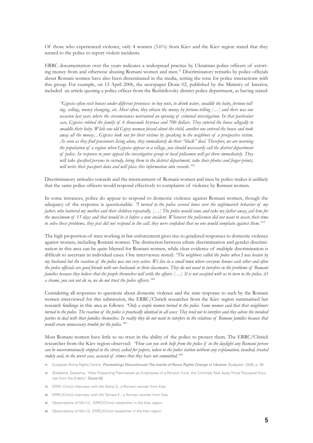Of those who experienced violence, only 4 women (3.6%) from Kiev and the Kiev region stated that they turned to the police to report violent incidents.

ERRC documentation over the years indicates a widespread practice by Ukrainian police officers of extorting money from and otherwise abusing Romani women and men.11 Discriminatory remarks by police officials about Romani women have also been disseminated in the media, setting the tone for police interactions with this group. For example, on 13 April 2006, the newspaper Dosie 02, published by the Ministry of Interior, included an article quoting a police officer from the Reshitilovsky district police department, as having stated:

*"Gypsies often visit houses under different pretences: to buy nuts, to drink water, swaddle the baby, fortune-telling, selling, money changing, etc. Most often, they obtain the money by fortune-telling […] and there was one occasion last year, where the circumstances warranted an opening of criminal investigation. In that particular case, Gypsies robbed the family of 6 thousands hryvnas and 700 dollars. They entered the house allegedly to swaddle their baby. While one old Gypsy woman fussed about the child, another one entered the house and took away all the money…Gypsies look out for their victims by speaking to the neighbors of a prospective victim. As soon as they find pensioners living alone, they immediately do their "black" deal. Therefore, we are warning the population of a region: when Gypsies appear in a village, you should necessarily call the district department of police. In response to your appeal the investigative group or local policemen will get there immediately. They will take specified persons to custody, bring them to the district department, take their photos and finger-prints, will write their passport data and will place this information into records."<sup>12</sup>*

Discriminatory attitudes towards and the mistreatment of Romani women and men by police makes it unlikely that the same police officers would respond effectively to complaints of violence by Romani women.

In some instances, police do appear to respond to domestic violence against Romani women, though the adequacy of the response is questionable: *"I turned to the police several times over the nightmarish behavior of my father, who battered my mother and their children repeatedly. […] The police would come and take my father away, jail him for the maximum of 15 days and that would be it before a new incident. Whenever the policemen did not want to waste their time to solve these problems, they just did not respond to the call; they were confident that no one would complain against them."<sup>13</sup>*

The high proportion of men working in law enforcement gives rise to gendered responses to domestic violence against women, including Romani women. The distinction between ethnic discrimination and gender discrimination in this area can be quite blurred for Romani women, while clear evidence of multiple discrimination is difficult to ascertain in individual cases. One interviewee noted: *"The neighbors called the police when I was beaten by my husband but the reaction of the police was not very active. We live in a small town where everyone knows each other and often the police officials are good friends with our husbands or their classmates. They do not want to interfere in the problems of Romani families because they believe that the people themselves will settle the affairs […]. It is not accepted with us to turn to the police, it's a shame, you can not do so, we do not trust the police officers."<sup>14</sup>*

Considering all responses to questions about domestic violence and the state response to such by the Romani women interviewed for this submission, the ERRC/Chiricli researcher from the Kiev region summarised her research findings in this area as follows: *"Only a couple women turned to the police. Some women said that their neighbours*  turned to the police. The reaction of the police is practically identical in all cases: They tend not to interfere and they advise the involved *parties to deal with their families themselves. In reality they do not want to interfere in the relations of Romani families because that would create unnecessary trouble for the police."<sup>15</sup>*

Most Romani women have little to no trust in the ability of the police to protect them. The ERRC/Chiricli researcher from the Kiev region observed: *"How can you seek help from the police if in the daylight any Romani person can be unceremoniously stopped in the street, asked for papers, taken to the police station without any explanation, insulted, treated rudely and, in the worst case, accused of crimes that they have not committed."16*

- **11** European Roma Rights Centre. *Proceedings Discontinued: The Inertia of Roma Rights Change in Ukraine*. Budapest, 2006, p. 58.
- **12** Shebalina, Ekaterina. "After Presenting Themselves as Employees of a Pension Fund, the Criminals Took Away Three Thousand Hryvnas from the Elderly". *Dosie 02*.
- **13** ERRC Chiricli interview with Ms Elena S., a Romani woman from Kiev.
- **14** ERRC/Chiricli interview with Ms Tamara K., a Romani woman from Kiev.
- **15** Observations of Ms V.Z., ERRC/Chiricli researcher in the Kiev region.
- **16** Observations of Ms V.Z, ERRC/Chiricli researcher in the Kiev region.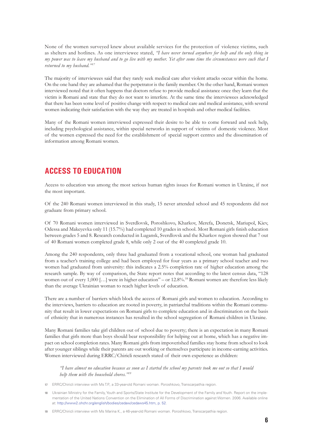None of the women surveyed knew about available services for the protection of violence victims, such as shelters and hotlines. As one interviewee stated, *"I have never turned anywhere for help and the only thing in my power was to leave my husband and to go live with my mother. Yet after some time the circumstances were such that I returned to my husband."17*

The majority of interviewees said that they rarely seek medical care after violent attacks occur within the home. On the one hand they are ashamed that the perpetrator is the family member. On the other hand, Romani women interviewed noted that it often happens that doctors refuse to provide medical assistance once they learn that the victim is Romani and state that they do not want to interfere. At the same time the interviewees acknowledged that there has been some level of positive change with respect to medical care and medical assistance, with several women indicating their satisfaction with the way they are treated in hospitals and other medical facilities.

Many of the Romani women interviewed expressed their desire to be able to come forward and seek help, including psychological assistance, within special networks in support of victims of domestic violence. Most of the women expressed the need for the establishment of special support centres and the dissemination of information among Romani women.

## **ACCESS TO EDUCATION**

Access to education was among the most serious human rights issues for Romani women in Ukraine, if not the most important.

Of the 240 Romani women interviewed in this study, 15 never attended school and 45 respondents did not graduate from primary school.

Of 70 Romani women interviewed in Sverdlovsk, Poroshkovo, Kharkov, Merefa, Donetsk, Mariupol, Kiev, Odessa and Makeyevka only 11 (15.7%) had completed 10 grades in school. Most Romani girls finish education between grades 5 and 8. Research conducted in Lugansk, Sverdlovsk and the Kharkov region showed that 7 out of 40 Romani women completed grade 8, while only 2 out of the 40 completed grade 10.

Among the 240 respondents, only three had graduated from a vocational school, one woman had graduated from a teacher's training college and had been employed for four years as a primary school teacher and two women had graduated from university: this indicates a 2.5% completion rate of higher education among the research sample. By way of comparison, the State report notes that according to the latest census data, "128 women out of every 1,000 [...] were in higher education" – or 12.8%.<sup>18</sup> Romani women are therefore less likely than the average Ukrainian woman to reach higher levels of education.

There are a number of barriers which block the access of Romani girls and women to education. According to the interviews, barriers to education are rooted in poverty, in patriarchal traditions within the Romani community that result in lower expectations on Romani girls to complete education and in discrimination on the basis of ethnicity that in numerous instances has resulted in the school segregation of Romani children in Ukraine.

Many Romani families take girl children out of school due to poverty; there is an expectation in many Romani families that girls more than boys should bear responsibility for helping out at home, which has a negative impact on school completion rates. Many Romani girls from impoverished families stay home from school to look after younger siblings while their parents are out working or themselves participate in income-earning activities. Women interviewed during ERRC/Chiricli research stated of their own experience as children:

*"I have almost no education because as soon as I started the school my parents took me out so that I would help them with the household chores."<sup>19</sup>*

**17** ERRC/Chiricli interview with Ms T.P., a 33-year-old Romani woman. Poroshkovo, Transcarpathia region.

**18** Ukrainian Ministry for the Family, Youth and Sports/State Institute for the Development of the Family and Youth. Report on the implementation of the United Nations Convention on the Elimination of All Forms of Discrimination against Women. 2006. Available online at: [http://www2.ohchr.org/english/bodies/cedaw/cedaws45.htm, p. 52.](http://www2.ohchr.org/english/bodies/cedaw/cedaws45.htm, p. 52)

**<sup>19</sup>** ERRC/Chiricli interview with Ms Marina K., a 46-year-old Romani woman. Poroshkovo, Transcarpathia region.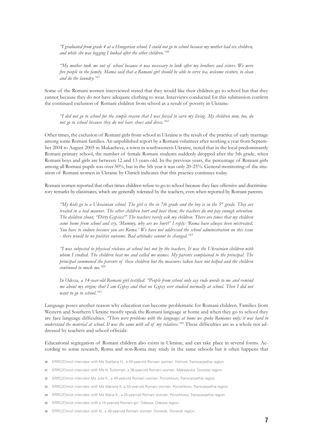*"I graduated from grade 4 at a Hungarian school. I could not go to school because my mother had six children, and while she was begging I looked after the other children."20*

*"My mother took me out of school because it was necessary to look after my brothers and sisters. We were five people in the family. Mama said that a Romani girl should be able to serve tea, welcome visitors, to clean and do the laundry."<sup>21</sup>*

Some of the Romani women interviewed stated that they would like their children go to school but that they cannot because they do not have adequate clothing to wear. Interviews conducted for this submission confirm the continued exclusion of Romani children from school as a result of poverty in Ukraine:

*"I did not go to school for the simple reason that I was forced to earn my living. My children now, too, do not go to school because they do not have shoes and dress."<sup>22</sup>*

Other times, the exclusion of Romani girls from school in Ukraine is the result of the practice of early marriage among some Romani families. An unpublished report by a Romani volunteer after working a year from September 2004 to August 2005 in Mukacheve, a town in southwestern Ukraine, noted that in the local predominantly Romani primary school, the number of female Romani students suddenly dropped after the 5th grade, when Romani boys and girls are between 12 and 13 years old. In the previous years, the percentage of Romani girls among all Romani pupils was over 50%, but in the 5th year it was only 20-25%. General monitoring of the situation of Romani women in Ukraine by Chiricli indicates that this practice continues today.

Romani women reported that other times children refuse to go to school because they face offensive and discriminatory remarks by classmates, which are generally tolerated by the teachers, even when reported by Romani parents:

*"My kids go to a Ukrainian school. The girl is the in 7th grade and the boy is in the 5th grade. They are treated in a bad manner. The other children hurt and beat them; the teachers do not pay enough attention. The children shout, "Dirty Gypsies!" The teachers rarely ask my children. There are times that my children come home from school and cry, 'Mummy, why are we hurt?' I reply: 'Roma have always been mistreated. You have to endure because you are Roma.' We have not addressed the school administration on this issue - there would be no positive outcome. Bad attitudes cannot be changed."<sup>23</sup>*

*"I was subjected to physical violence at school but not by the teachers. It was the Ukrainian children with whom I studied. The children beat me and called me names. My parents complained to the principal. The principal summoned the parents of these children but the measures taken have not helped and the children continued to mock me."<sup>24</sup>*

*In Odessa, a 14-year-old Romani girl testified: "People from school only say rude words to me and remind me about my origin; that I am Gypsy and that no Gypsy ever studied normally at school. Then I did not want to go to school."<sup>25</sup>*

Language poses another reason why education can become problematic for Romani children. Families from Western and Southern Ukraine mostly speak the Romani language at home and when they go to school they are face language difficulties. *"There were problems with the language; at home we spoke Romanes only; it was hard to understand the material at school. It was the same with all of my relatives."26* These difficulties are as a whole not addressed by teachers and school officials:

Educational segregation of Romani children also exists in Ukraine, and can take place in several forms. According to some research, Roma and non-Roma may study in the same schools but it often happens that

- **20** ERRC/Chiricli interview with Ms Sveltana N., a 43-year-old Romani woman. Holmok, Transcarpathia region.
- **21** ERRC/Chiricli interview with Ms N. Turkoman, a 38-year-old Romani woman. Makeyevka, Donetsk region.
- **22** ERRC/Chiricli interview Ms Julia K., a 49-year-old Romani woman. Poroshkovo, Transcarpathia region.
- **23** ERRC/Chiricli interview with Ms Mariana K. a 33-year-old Romani woman. Poroshkovo, Transcarpathia region.
- **24** ERRC/Chiricli interview with Ms Maria K., a 25-year-old Romani woman. Poroshkovo, Transcarpathia region.
- **25** ERRC/Chiricli interview with a 14-year-old Romani girl. Odessa, Odessa region.
- **26** ERRC/Chiricli interview with N., a 49-year-old Romani woman. Donetsk, Donetsk region.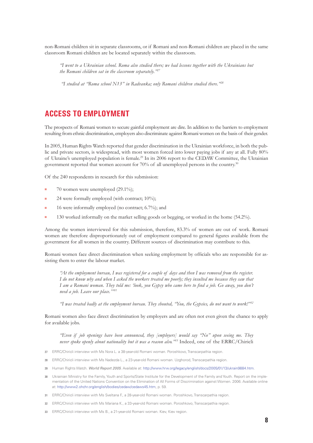non-Romani children sit in separate classrooms, or if Romani and non-Romani children are placed in the same classroom Romani children are be located separately within the classroom.

*"I went to a Ukrainian school. Roma also studied there; we had lessons together with the Ukrainians but the Romani children sat in the classroom separately."27*

 *"I studied at "Roma school N13" in Radvanka; only Romani children studied there."<sup>28</sup>*

## **ACCESS TO EMPLOYMENT**

The prospects of Romani women to secure gainful employment are dire. In addition to the barriers to employment resulting from ethnic discrimination, employers also discriminate against Romani women on the basis of their gender.

In 2005, Human Rights Watch reported that gender discrimination in the Ukrainian workforce, in both the public and private sectors, is widespread, with most women forced into lower paying jobs if any at all. Fully 80% of Ukraine's unemployed population is female.<sup>29</sup> In its 2006 report to the CEDAW Committee, the Ukrainian government reported that women account for 70% of all unemployed persons in the country.30

Of the 240 respondents in research for this submission:

- 70 women were unemployed (29.1%);
- 24 were formally employed (with contract;  $10\%$ );
- 16 were informally employed (no contract;  $6.7\%$ ); and
- 130 worked informally on the market selling goods or begging, or worked in the home (54.2%).

Among the women interviewed for this submission, therefore, 83.3% of women are out of work. Romani women are therefore disproportionately out of employment compared to general figures available from the government for all women in the country. Different sources of discrimination may contribute to this.

Romani women face direct discrimination when seeking employment by officials who are responsible for assisting them to enter the labour market.

*"At the employment bureau, I was registered for a couple of days and then I was removed from the register. I do not know why and when I asked the workers treated me poorly; they insulted me because they saw that I am a Romani woman. They told me: 'look, you Gypsy who came here to find a job. Go away, you don't need a job. Leave our place.'"<sup>31</sup>*

*"I was treated badly at the employment bureau. They shouted, "You, the Gypsies, do not want to work!"<sup>32</sup>*

Romani women also face direct discrimination by employers and are often not even given the chance to apply for available jobs.

*"Even if job openings have been announced, they [employers] would say "No" upon seeing me. They never spoke openly about nationality but it was a reason also."<sup>33</sup>* Indeed, one of the ERRC/Chiricli

- **27** ERRC/Chiricli interview with Ms Nora L. a 38-year-old Romani woman. Poroshkovo, Transcarpathia region.
- **28** ERRC/Chiricli interview with Ms Nadezda L., a 23-year-old Romani woman. Uzghorod, Transcarpathia region.
- **29** Human Rights Watch. *World Report 2005*. Available at: [http://www.hrw.org/legacy/english/docs/2005/01/13/ukrain9884.htm.](http://www.hrw.org/legacy/english/docs/2005/01/13/ukrain9884.htm)
- **30** Ukrainian Ministry for the Family, Youth and Sports/State Institute for the Development of the Family and Youth. Report on the implementation of the United Nations Convention on the Elimination of All Forms of Discrimination against Women. 2006. Available online at: <http://www2.ohchr.org/english/bodies/cedaw/cedaws45.htm>, p. 59.
- **31** ERRC/Chiricli interview with Ms Sveltana F., a 28-year-old Romani woman. Poroshkovo, Transcarpathia region.
- **32** ERRC/Chiricli interview with Ms Mariana K., a 33-year-old Romani woman. Poroshkovo, Transcarpathia region.
- **33** ERRC/Chiricli interview with Ms B., a 21-year-old Romani woman. Kiev, Kiev region.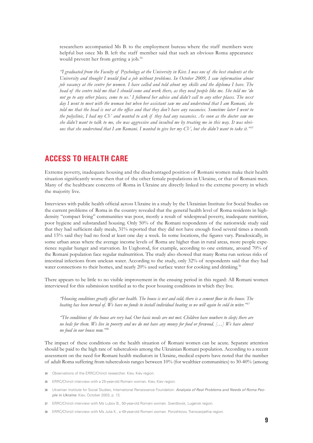researchers accompanied Ms B. to the employment bureau where the staff members were helpful but once Ms B. left the staff member said that such an obvious Roma appearance would prevent her from getting a job.<sup>34</sup>

*"I graduated from the Faculty of Psychology at the University in Kiev. I was one of the best students at the University and thought I would find a job without problems. In October 2009, I saw information about job vacancy at the centre for women. I have called and told about my skills and the diploma I have. The head of the centre told me that I should come and work there, as they need people like me. She told me 'do not go to any other places, come to us.'* I followed her advice and didn't call to any other places. The next *day I went to meet with the woman but when her assistant saw me and understood that I am Romani, she told me that the head is not at the office and that they don't have any vacancies. Sometime later I went to the polyclinic, I had my CV and wanted to ask if they had any vacancies. As soon as the doctor saw me she didn't want to talk to me, she was aggressive and insulted me by treating me in this way. It was obvious that she understood that I am Romani. I wanted to give her my CV, but she didn't want to take it."<sup>35</sup>*

### **ACCESS TO HEALTH CARE**

Extreme poverty, inadequate housing and the disadvantaged position of Romani women make their health situation significantly worse then that of the other female populations in Ukraine, or that of Romani men. Many of the healthcare concerns of Roma in Ukraine are directly linked to the extreme poverty in which the majority live.

Interviews with public health official across Ukraine in a study by the Ukrainian Institute for Social Studies on the current problems of Roma in the country revealed that the general health level of Roma residents in highdensity "compact living" communities was poor, mostly a result of widespread poverty, inadequate nutrition, poor hygiene and substandard housing. Only 50% of the Romani respondents of the nationwide study said that they had sufficient daily meals, 31% reported that they did not have enough food several times a month and 15% said they had no food at least one day a week. In some locations, the figures vary. Paradoxically, in some urban areas where the average income levels of Roma are higher than in rural areas, more people experience regular hunger and starvation. In Uzghorod, for example, according to one estimate, around 70% of the Romani population face regular malnutrition. The study also showed that many Roma run serious risks of intestinal infections from unclean water. According to the study, only 32% of respondents said that they had water connections to their homes, and nearly  $20\%$  used surface water for cooking and drinking.<sup>36</sup>

There appears to be little to no visible improvement in the ensuing period in this regard: All Romani women interviewed for this submission testified as to the poor housing conditions in which they live.

*"Housing conditions greatly affect our health. The house is wet and cold; there is a cement floor in the house. The heating has been turned of. We have no funds to install individual heating so we will again be cold in witer."37* 

*"The conditions of the house are very bad. Our basic needs are not met. Children have nowhere to sleep; there are no beds for them. We live in poverty and we do not have any money for food or firewood. […] We have almost no food in our house now."<sup>38</sup>*

The impact of these conditions on the health situation of Romani women can be acute. Separate attention should be paid to the high rate of tuberculosis among the Ukrainian Romani population. According to a recent assessment on the need for Romani health mediators in Ukraine, medical experts have noted that the number of adult Roma suffering from tuberculosis ranges between 10% (for wealthier communities) to 30-40% (among

- **34** Observations of the ERRC/Chiricli researcher. Kiev, Kiev region.
- **35** ERRC/Chiricli interview with a 25-year-old Romani woman. Kiev, Kiev region.
- **36** Ukrainian Institute for Social Studies, International Renaissance Foundation. *Analysis of Real Problems and Needs of Roma People in Ukraine*. Kiev, October 2003, p. 13.
- **37** ERRC/Chiricli interview with Ms Lubov B., 50-year-old Romani woman. Sverdlovsk, Lugansk region.
- **38** ERRC/Chiricli interview with Ms Julia K., a 49-year-old Romani woman. Poroshkovo, Transcarpathia region.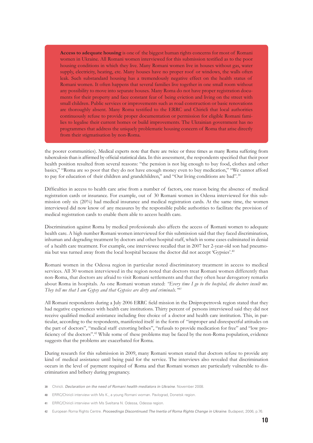**Access to adequate housing** is one of the biggest human rights concerns for most of Romani women in Ukraine. All Romani women interviewed for this submission testified as to the poor housing conditions in which they live. Many Romani women live in houses without gas, water supply, electricity, heating, etc. Many houses have no proper roof or windows, the walls often leak. Such substandard housing has a tremendously negative effect on the health status of Romani women. It often happens that several families live together in one small room without any possibility to move into separate houses. Many Roma do not have proper registration documents for their property and face constant fear of being eviction and living on the street with small children. Public services or improvements such as road construction or basic renovations are thoroughly absent. Many Roma testified to the ERRC and Chiricli that local authorities continuously refuse to provide proper documentation or permission for eligible Romani families to legalise their current homes or build improvements. The Ukrainian government has no programmes that address the uniquely problematic housing concern of Roma that arise directly from their stigmatisation by non-Roma.

the poorer communities). Medical experts note that there are twice or three times as many Roma suffering from tuberculosis than is affirmed by official statistical data. In this assessment, the respondents specified that their poor health position resulted from several reasons: "the pension is not big enough to buy food, clothes and other basics," "Roma are so poor that they do not have enough money even to buy medication," "We cannot afford to pay for education of their children and grandchildren," and "Our living conditions are bad".<sup>39</sup>

Difficulties in access to health care arise from a number of factors, one reason being the absence of medical registration cards or insurance. For example, out of 30 Romani women in Odessa interviewed for this submission only six (20%) had medical insurance and medical registration cards. At the same time, the women interviewed did now know of any measures by the responsible public authorities to facilitate the provision of medical registration cards to enable them able to access health care.

Discrimination against Roma by medical professionals also affects the access of Romani women to adequate health care. A high number Romani women interviewed for this submission said that they faced discrimination, inhuman and degrading treatment by doctors and other hospital staff, which in some cases culminated in denial of a health care treatment. For example, one interviewee recalled that in 2007 her 2-year-old son had pneumonia but was turned away from the local hospital because the doctor did not accept 'Gypsies'.40

Romani women in the Odessa region in particular noted discriminatory treatment in access to medical services. All 30 women interviewed in the region noted that doctors treat Romani women differently than non-Roma, that doctors are afraid to visit Romani settlements and that they often hear derogatory remarks about Roma in hospitals. As one Romani woman stated: *"Every time I go to the hospital, the doctors insult me. They tell me that I am Gypsy and that Gypsies are dirty and criminals."<sup>41</sup>*

All Romani respondents during a July 2006 ERRC field mission in the Dnipropetrovsk region stated that they had negative experiences with health care institutions. Thirty percent of persons interviewed said they did not receive qualified medical assistance including free choice of a doctor and health care institution. This, in particular, according to the respondents, manifested itself in the form of "improper and disrespectful attitudes on the part of doctors", "medical staff extorting bribes", "refusals to provide medication for free" and "low proficiency of the doctors".<sup>42</sup> While some of these problems may be faced by the non-Roma population, evidence suggests that the problems are exacerbated for Roma.

During research for this submission in 2009, many Romani women stated that doctors refuse to provide any kind of medical assistance until being paid for the service. The interviews also revealed that discrimination occurs in the level of payment required of Roma and that Romani women are particularly vulnerable to discrimination and bribery during pregnancy.

- **39** Chiricli. *Declaration on the need of Romani health mediators in Ukraine*. November 2008.
- **40** ERRC/Chiricli interview with Ms K., a young Romani woman. Pavlograd, Donetsk region.
- **41** ERRC/Chiricli interview with Ms Sveltana N. Odessa, Odessa region.
- **42** European Roma Rights Centre. *Proceedings Discontinued: The Inertia of Roma Rights Change in Ukraine*. Budapest, 2006, p.76.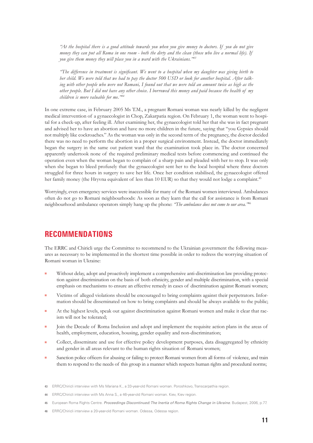*"At the hospital there is a good attitude towards you when you give money to doctors. If you do not give money they can put all Roma in one room - both the dirty and the clean (those who live a normal life). If you give them money they will place you in a ward with the Ukrainians."<sup>43</sup>*

*"The difference in treatment is significant. We went to a hospital when my daughter was giving birth to her child. We were told that we had to pay the doctor 500 USD or look for another hospital. After talking with other people who were not Romani, I found out that we were told an amount twice as high as the other people. But I did not have any other choice. I borrowed this money and paid because the health of my children is more valuable for me."<sup>44</sup>*

In one extreme case, in February 2005 Ms T.M., a pregnant Romani woman was nearly killed by the negligent medical intervention of a gynaecologist in Chop, Zakarpatia region. On February 1, the woman went to hospital for a check-up, after feeling ill. After examining her, the gynaecologist told her that she was in fact pregnant and advised her to have an abortion and have no more children in the future, saying that "you Gypsies should not multiply like cockroaches." As the woman was only in the second term of the pregnancy, the doctor decided there was no need to perform the abortion in a proper surgical environment. Instead, the doctor immediately began the surgery in the same out patient ward that the examination took place in. The doctor concerned apparently undertook none of the required preliminary medical tests before commencing and continued the operation even when the woman began to complain of a sharp pain and pleaded with her to stop. It was only when she began to bleed profusely that the gynaecologist sent her to the local hospital where three doctors struggled for three hours in surgery to save her life. Once her condition stabilised, the gynaecologist offered her family money (the Hryvna equivalent of less than 10 EUR) so that they would not lodge a complaint.<sup>45</sup>

Worryingly, even emergency services were inaccessible for many of the Romani women interviewed. Ambulances often do not go to Romani neighbourhoods: As soon as they learn that the call for assistance is from Romani neighbourhood ambulance operators simply hang up the phone: *"The ambulance does not come to our area."*<sup>46</sup>

#### **RECOMMENDATIONS**

The ERRC and Chiricli urge the Committee to recommend to the Ukrainian government the following measures as necessary to be implemented in the shortest time possible in order to redress the worrying situation of Romani woman in Ukraine:

- Without delay, adopt and proactively implement a comprehensive anti-discrimination law providing protection against discrimination on the basis of both ethnicity, gender and multiple discrimination, with a special emphasis on mechanisms to ensure an effective remedy in cases of discrimination against Romani women;
- Victims of alleged violations should be encouraged to bring complaints against their perpetrators. Information should be disseminated on how to bring complaints and should be always available to the public;
- At the highest levels, speak out against discrimination against Romani women and make it clear that racism will not be tolerated;
- Ioin the Decade of Roma Inclusion and adopt and implement the requisite action plans in the areas of health, employment, education, housing, gender equality and non-discrimination;
- Collect, disseminate and use for effective policy development purposes, data disaggregated by ethnicity and gender in all areas relevant to the human rights situation of Romani women;
- Sanction police officers for abusing or failing to protect Romani women from all forms of violence, and train them to respond to the needs of this group in a manner which respects human rights and procedural norms;

**<sup>43</sup>** ERRC/Chiricli interview with Ms Mariana K., a 33-year-old Romani woman. Poroshkovo, Transcarpathia region.

**<sup>44</sup>** ERRC/Chiricli interview with Ms Anna S., a 46-year-old Romani woman. Kiev, Kiev region.

**<sup>45</sup>** European Roma Rights Centre. *Proceedings Discontinued: The Inertia of Roma Rights Change in Ukraine*. Budapest, 2006, p.77.

**<sup>46</sup>** ERRC/Chiricli interview a 20-year-old Romani woman. Odessa, Odessa region.